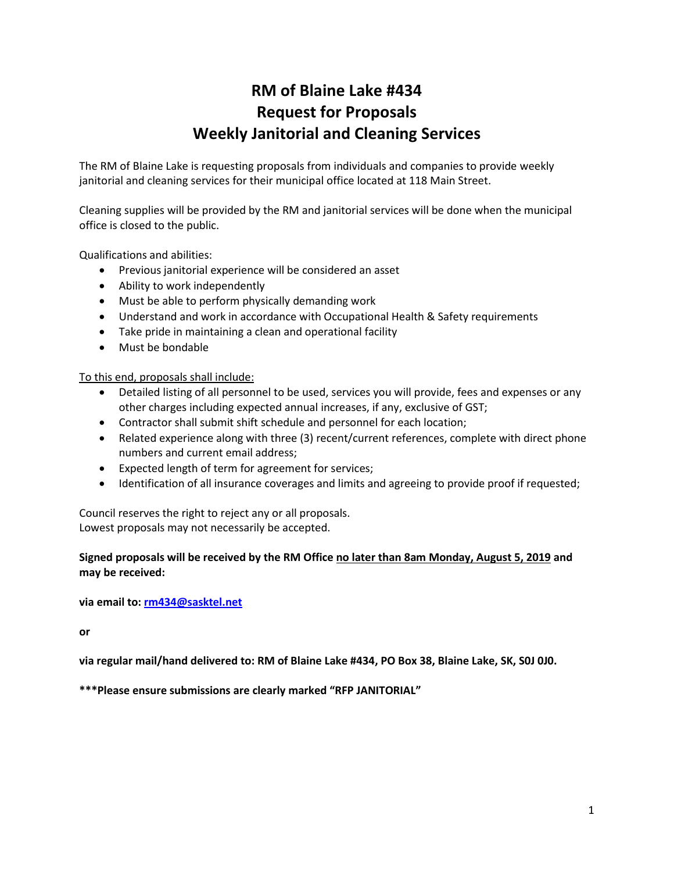# **RM of Blaine Lake #434 Request for Proposals Weekly Janitorial and Cleaning Services**

The RM of Blaine Lake is requesting proposals from individuals and companies to provide weekly janitorial and cleaning services for their municipal office located at 118 Main Street.

Cleaning supplies will be provided by the RM and janitorial services will be done when the municipal office is closed to the public.

Qualifications and abilities:

- Previous janitorial experience will be considered an asset
- Ability to work independently
- Must be able to perform physically demanding work
- Understand and work in accordance with Occupational Health & Safety requirements
- Take pride in maintaining a clean and operational facility
- Must be bondable

To this end, proposals shall include:

- Detailed listing of all personnel to be used, services you will provide, fees and expenses or any other charges including expected annual increases, if any, exclusive of GST;
- Contractor shall submit shift schedule and personnel for each location;
- Related experience along with three (3) recent/current references, complete with direct phone numbers and current email address;
- Expected length of term for agreement for services;
- Identification of all insurance coverages and limits and agreeing to provide proof if requested;

Council reserves the right to reject any or all proposals. Lowest proposals may not necessarily be accepted.

### **Signed proposals will be received by the RM Office no later than 8am Monday, August 5, 2019 and may be received:**

**via email to: [rm434@sasktel.net](mailto:rm434@sasktel.net)**

**or** 

**via regular mail/hand delivered to: RM of Blaine Lake #434, PO Box 38, Blaine Lake, SK, S0J 0J0.**

**\*\*\*Please ensure submissions are clearly marked "RFP JANITORIAL"**